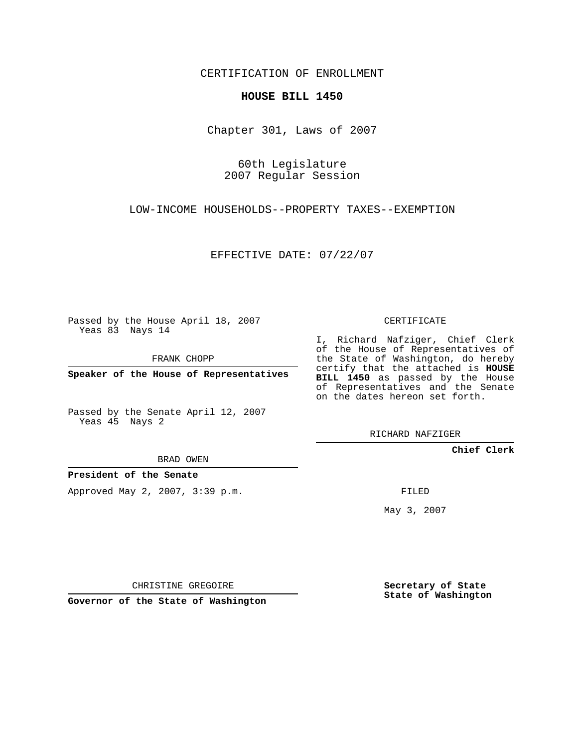CERTIFICATION OF ENROLLMENT

## **HOUSE BILL 1450**

Chapter 301, Laws of 2007

60th Legislature 2007 Regular Session

LOW-INCOME HOUSEHOLDS--PROPERTY TAXES--EXEMPTION

EFFECTIVE DATE: 07/22/07

Passed by the House April 18, 2007 Yeas 83 Nays 14

FRANK CHOPP

**Speaker of the House of Representatives**

Passed by the Senate April 12, 2007 Yeas 45 Nays 2

CERTIFICATE

I, Richard Nafziger, Chief Clerk of the House of Representatives of the State of Washington, do hereby certify that the attached is **HOUSE BILL 1450** as passed by the House of Representatives and the Senate on the dates hereon set forth.

RICHARD NAFZIGER

**Chief Clerk**

BRAD OWEN

**President of the Senate**

Approved May 2, 2007, 3:39 p.m.

FILED

May 3, 2007

**Secretary of State State of Washington**

CHRISTINE GREGOIRE

**Governor of the State of Washington**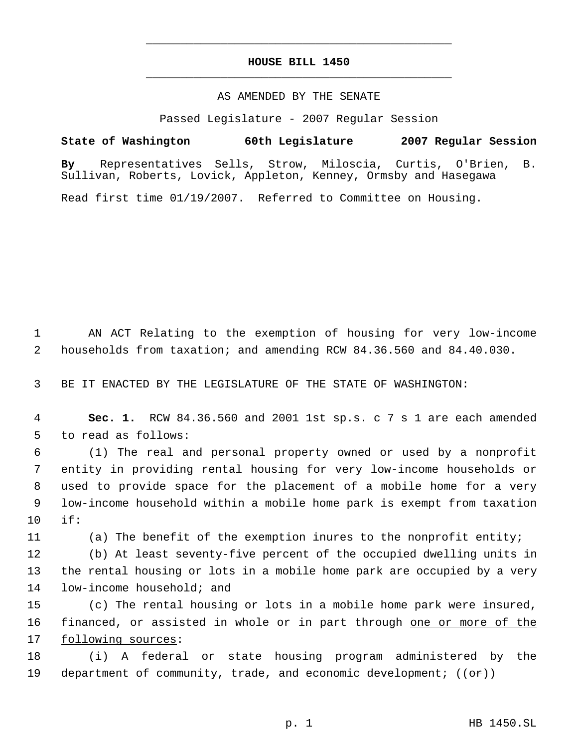## **HOUSE BILL 1450** \_\_\_\_\_\_\_\_\_\_\_\_\_\_\_\_\_\_\_\_\_\_\_\_\_\_\_\_\_\_\_\_\_\_\_\_\_\_\_\_\_\_\_\_\_

\_\_\_\_\_\_\_\_\_\_\_\_\_\_\_\_\_\_\_\_\_\_\_\_\_\_\_\_\_\_\_\_\_\_\_\_\_\_\_\_\_\_\_\_\_

## AS AMENDED BY THE SENATE

Passed Legislature - 2007 Regular Session

**State of Washington 60th Legislature 2007 Regular Session**

**By** Representatives Sells, Strow, Miloscia, Curtis, O'Brien, B. Sullivan, Roberts, Lovick, Appleton, Kenney, Ormsby and Hasegawa

Read first time 01/19/2007. Referred to Committee on Housing.

 1 AN ACT Relating to the exemption of housing for very low-income 2 households from taxation; and amending RCW 84.36.560 and 84.40.030.

3 BE IT ENACTED BY THE LEGISLATURE OF THE STATE OF WASHINGTON:

 4 **Sec. 1.** RCW 84.36.560 and 2001 1st sp.s. c 7 s 1 are each amended 5 to read as follows:

 (1) The real and personal property owned or used by a nonprofit entity in providing rental housing for very low-income households or used to provide space for the placement of a mobile home for a very low-income household within a mobile home park is exempt from taxation 10 if:

11 (a) The benefit of the exemption inures to the nonprofit entity;

12 (b) At least seventy-five percent of the occupied dwelling units in 13 the rental housing or lots in a mobile home park are occupied by a very 14 low-income household; and

15 (c) The rental housing or lots in a mobile home park were insured, 16 financed, or assisted in whole or in part through one or more of the 17 following sources:

18 (i) A federal or state housing program administered by the 19 department of community, trade, and economic development;  $((\theta \cdot \mathbf{r}))$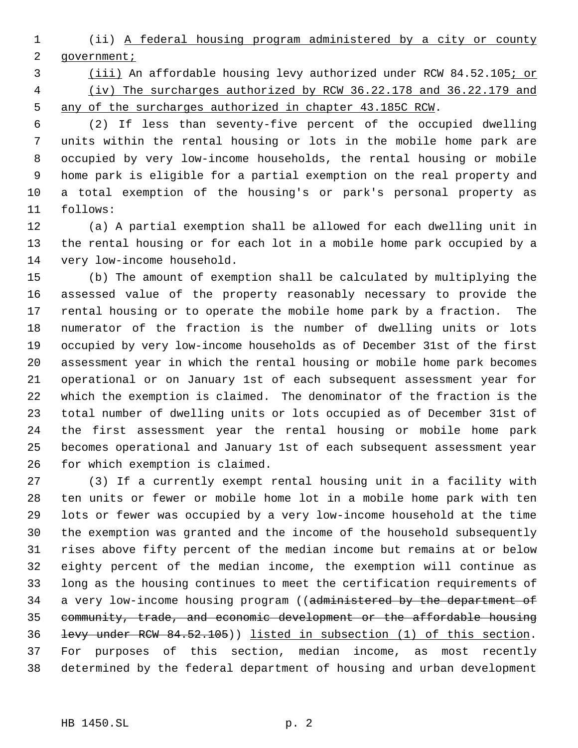(ii) A federal housing program administered by a city or county 2 government;

 (iii) An affordable housing levy authorized under RCW 84.52.105; or (iv) The surcharges authorized by RCW 36.22.178 and 36.22.179 and any of the surcharges authorized in chapter 43.185C RCW.

 (2) If less than seventy-five percent of the occupied dwelling units within the rental housing or lots in the mobile home park are occupied by very low-income households, the rental housing or mobile home park is eligible for a partial exemption on the real property and a total exemption of the housing's or park's personal property as follows:

 (a) A partial exemption shall be allowed for each dwelling unit in the rental housing or for each lot in a mobile home park occupied by a very low-income household.

 (b) The amount of exemption shall be calculated by multiplying the assessed value of the property reasonably necessary to provide the rental housing or to operate the mobile home park by a fraction. The numerator of the fraction is the number of dwelling units or lots occupied by very low-income households as of December 31st of the first assessment year in which the rental housing or mobile home park becomes operational or on January 1st of each subsequent assessment year for which the exemption is claimed. The denominator of the fraction is the total number of dwelling units or lots occupied as of December 31st of the first assessment year the rental housing or mobile home park becomes operational and January 1st of each subsequent assessment year for which exemption is claimed.

 (3) If a currently exempt rental housing unit in a facility with ten units or fewer or mobile home lot in a mobile home park with ten lots or fewer was occupied by a very low-income household at the time the exemption was granted and the income of the household subsequently rises above fifty percent of the median income but remains at or below eighty percent of the median income, the exemption will continue as long as the housing continues to meet the certification requirements of 34 a very low-income housing program ((administered by the department of community, trade, and economic development or the affordable housing levy under RCW 84.52.105)) listed in subsection (1) of this section. For purposes of this section, median income, as most recently determined by the federal department of housing and urban development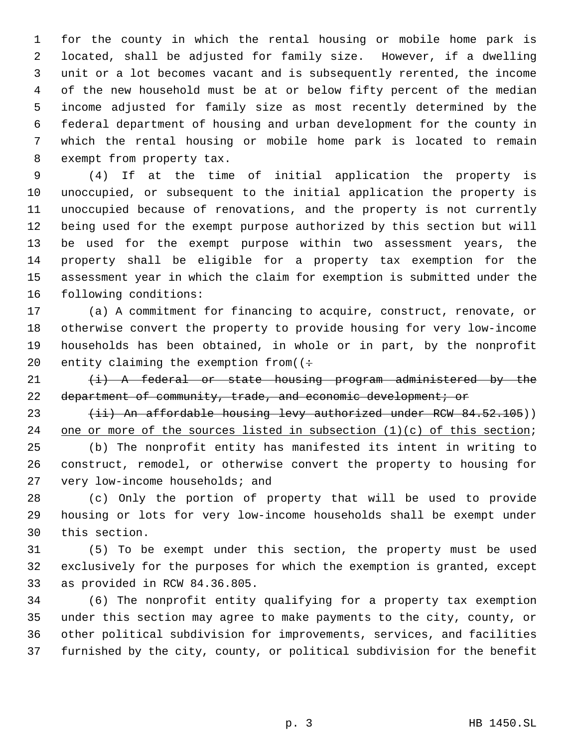for the county in which the rental housing or mobile home park is located, shall be adjusted for family size. However, if a dwelling unit or a lot becomes vacant and is subsequently rerented, the income of the new household must be at or below fifty percent of the median income adjusted for family size as most recently determined by the federal department of housing and urban development for the county in which the rental housing or mobile home park is located to remain exempt from property tax.

 (4) If at the time of initial application the property is unoccupied, or subsequent to the initial application the property is unoccupied because of renovations, and the property is not currently being used for the exempt purpose authorized by this section but will be used for the exempt purpose within two assessment years, the property shall be eligible for a property tax exemption for the assessment year in which the claim for exemption is submitted under the following conditions:

 (a) A commitment for financing to acquire, construct, renovate, or otherwise convert the property to provide housing for very low-income households has been obtained, in whole or in part, by the nonprofit 20 entity claiming the exemption from( $($  +

 $(i)$  A federal or state housing program administered by the 22 department of community, trade, and economic development; or

23 (ii) An affordable housing levy authorized under RCW 84.52.105)) 24 one or more of the sources listed in subsection (1)(c) of this section;

 (b) The nonprofit entity has manifested its intent in writing to construct, remodel, or otherwise convert the property to housing for very low-income households; and

 (c) Only the portion of property that will be used to provide housing or lots for very low-income households shall be exempt under this section.

 (5) To be exempt under this section, the property must be used exclusively for the purposes for which the exemption is granted, except as provided in RCW 84.36.805.

 (6) The nonprofit entity qualifying for a property tax exemption under this section may agree to make payments to the city, county, or other political subdivision for improvements, services, and facilities furnished by the city, county, or political subdivision for the benefit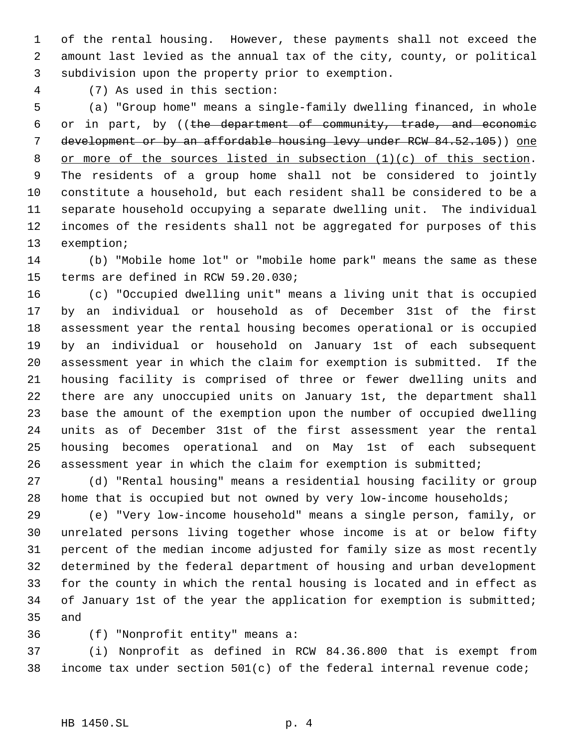of the rental housing. However, these payments shall not exceed the amount last levied as the annual tax of the city, county, or political subdivision upon the property prior to exemption.

(7) As used in this section:

 (a) "Group home" means a single-family dwelling financed, in whole or in part, by ((the department of community, trade, and economic 7 development or by an affordable housing levy under RCW 84.52.105)) one 8 or more of the sources listed in subsection (1)(c) of this section. The residents of a group home shall not be considered to jointly constitute a household, but each resident shall be considered to be a separate household occupying a separate dwelling unit. The individual incomes of the residents shall not be aggregated for purposes of this exemption;

 (b) "Mobile home lot" or "mobile home park" means the same as these terms are defined in RCW 59.20.030;

 (c) "Occupied dwelling unit" means a living unit that is occupied by an individual or household as of December 31st of the first assessment year the rental housing becomes operational or is occupied by an individual or household on January 1st of each subsequent assessment year in which the claim for exemption is submitted. If the housing facility is comprised of three or fewer dwelling units and there are any unoccupied units on January 1st, the department shall base the amount of the exemption upon the number of occupied dwelling units as of December 31st of the first assessment year the rental housing becomes operational and on May 1st of each subsequent assessment year in which the claim for exemption is submitted;

 (d) "Rental housing" means a residential housing facility or group home that is occupied but not owned by very low-income households;

 (e) "Very low-income household" means a single person, family, or unrelated persons living together whose income is at or below fifty percent of the median income adjusted for family size as most recently determined by the federal department of housing and urban development for the county in which the rental housing is located and in effect as 34 of January 1st of the year the application for exemption is submitted; and

(f) "Nonprofit entity" means a:

 (i) Nonprofit as defined in RCW 84.36.800 that is exempt from 38 income tax under section  $501(c)$  of the federal internal revenue code;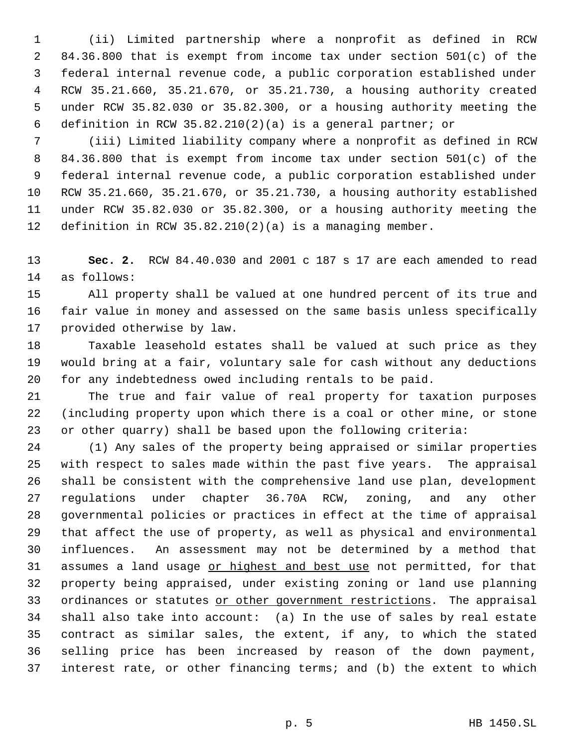(ii) Limited partnership where a nonprofit as defined in RCW 84.36.800 that is exempt from income tax under section 501(c) of the federal internal revenue code, a public corporation established under RCW 35.21.660, 35.21.670, or 35.21.730, a housing authority created under RCW 35.82.030 or 35.82.300, or a housing authority meeting the definition in RCW 35.82.210(2)(a) is a general partner; or

 (iii) Limited liability company where a nonprofit as defined in RCW 84.36.800 that is exempt from income tax under section 501(c) of the federal internal revenue code, a public corporation established under RCW 35.21.660, 35.21.670, or 35.21.730, a housing authority established under RCW 35.82.030 or 35.82.300, or a housing authority meeting the definition in RCW 35.82.210(2)(a) is a managing member.

 **Sec. 2.** RCW 84.40.030 and 2001 c 187 s 17 are each amended to read as follows:

 All property shall be valued at one hundred percent of its true and fair value in money and assessed on the same basis unless specifically provided otherwise by law.

 Taxable leasehold estates shall be valued at such price as they would bring at a fair, voluntary sale for cash without any deductions for any indebtedness owed including rentals to be paid.

 The true and fair value of real property for taxation purposes (including property upon which there is a coal or other mine, or stone or other quarry) shall be based upon the following criteria:

 (1) Any sales of the property being appraised or similar properties with respect to sales made within the past five years. The appraisal shall be consistent with the comprehensive land use plan, development regulations under chapter 36.70A RCW, zoning, and any other governmental policies or practices in effect at the time of appraisal that affect the use of property, as well as physical and environmental influences. An assessment may not be determined by a method that 31 assumes a land usage or highest and best use not permitted, for that property being appraised, under existing zoning or land use planning 33 ordinances or statutes or other government restrictions. The appraisal shall also take into account: (a) In the use of sales by real estate contract as similar sales, the extent, if any, to which the stated selling price has been increased by reason of the down payment, interest rate, or other financing terms; and (b) the extent to which